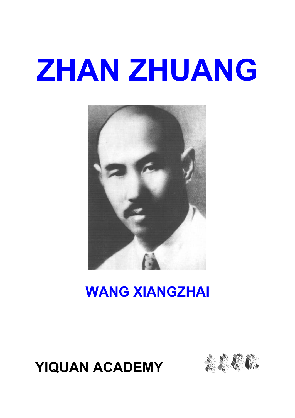# **ZHAN ZHUANG**



## **WANG XIANGZHAI**

## **YIQUAN ACADEMY**

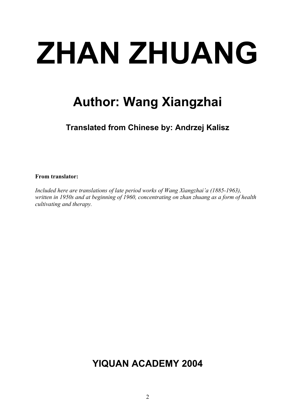# **ZHAN ZHUANG**

## **Author: Wang Xiangzhai**

**Translated from Chinese by: Andrzej Kalisz**

**From translator:**

*Included here are translations of late period works of Wang Xiangzhai'a (1885-1963), written in 1950s and at beginning of 1960, concentrating on zhan zhuang as a form of health cultivating and therapy.* 

## **YIQUAN ACADEMY 2004**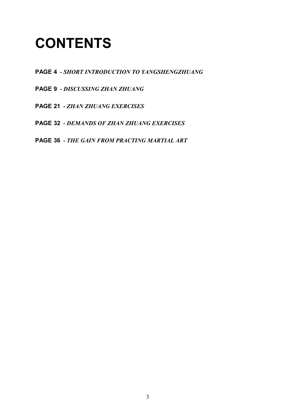# **CONTENTS**

- **PAGE 4** *SHORT INTRODUCTION TO YANGSHENGZHUANG*
- **PAGE 9** *DISCUSSING ZHAN ZHUANG*
- **PAGE 21** *ZHAN ZHUANG EXERCISES*
- **PAGE 32** *DEMANDS OF ZHAN ZHUANG EXERCISES*
- **PAGE 36** *THE GAIN FROM PRACTING MARTIAL ART*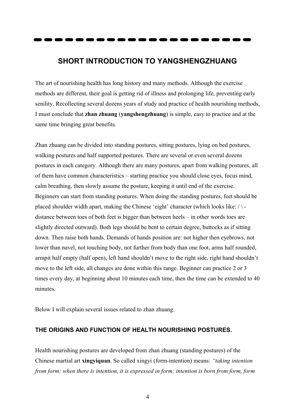#### **SHORT INTRODUCTION TO YANGSHENGZHUANG**

The art of nourishing health has long history and many methods. Although the exercise methods are different, their goal is getting rid of illness and prolonging life, preventing early senility. Recollecting several dozens years of study and practice of health nourishing methods, I must conclude that **zhan zhuang** (**yangshengzhuang**) is simple, easy to practice and at the same time bringing great benefits.

Zhan zhuang can be divided into standing postures, sitting postures, lying on bed postures, walking postures and half supported postures. There are several or even several dozens postures in each category. Although there are many postures, apart from walking postures, all of them have common characteristics – starting practice you should close eyes, focus mind, calm breathing, then slowly assume the posture, keeping it until end of the exercise. Beginners can start from standing postures. When doing the standing postures, feet should be placed shoulder width apart, making the Chinese 'eight' character (which looks like:  $/\sqrt{\cdot}$ distance between toes of both feet is bigger than between heels – in other words toes are slightly directed outward). Both legs should be bent to certain degree, buttocks as if sitting down. Then raise both hands. Demands of hands position are: not higher then eyebrows, not lower than navel, not touching body, not further from body than one foot, arms half rounded, armpit half empty (half open), left hand shouldn't move to the right side, right hand shouldn't move to the left side, all changes are done within this range. Beginner can practice 2 or 3 times every day, at beginning about 10 minutes each time, then the time can be extended to 40 minutes.

Below I will explain several issues related to zhan zhuang.

#### **THE ORIGINS AND FUNCTION OF HEALTH NOURISHING POSTURES.**

Health nourishing postures are developed from zhan zhuang (standing postures) of the Chinese martial art **xingyiquan**. So called xingyi (form-intention) means: *"taking intention from form; when there is intention, it is expressed in form; intention is born from form, form*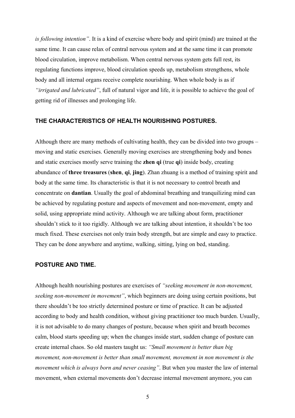*is following intention"*. It is a kind of exercise where body and spirit (mind) are trained at the same time. It can cause relax of central nervous system and at the same time it can promote blood circulation, improve metabolism. When central nervous system gets full rest, its regulating functions improve, blood circulation speeds up, metabolism strengthens, whole body and all internal organs receive complete nourishing. When whole body is as if *"irrigated and lubricated"*, full of natural vigor and life, it is possible to achieve the goal of getting rid of illnesses and prolonging life.

#### **THE CHARACTERISTICS OF HEALTH NOURISHING POSTURES.**

Although there are many methods of cultivating health, they can be divided into two groups – moving and static exercises. Generally moving exercises are strengthening body and bones and static exercises mostly serve training the **zhen qi** (true **qi**) inside body, creating abundance of **three treasures** (**shen**, **qi**, **jing**). Zhan zhuang is a method of training spirit and body at the same time. Its characteristic is that it is not necessary to control breath and concentrate on **dantian**. Usually the goal of abdominal breathing and tranquilizing mind can be achieved by regulating posture and aspects of movement and non-movement, empty and solid, using appropriate mind activity. Although we are talking about form, practitioner shouldn't stick to it too rigidly. Although we are talking about intention, it shouldn't be too much fixed. These exercises not only train body strength, but are simple and easy to practice. They can be done anywhere and anytime, walking, sitting, lying on bed, standing.

#### **POSTURE AND TIME.**

Although health nourishing postures are exercises of *"seeking movement in non-movement, seeking non-movement in movement"*, which beginners are doing using certain positions, but there shouldn't be too strictly determined posture or time of practice. It can be adjusted according to body and health condition, without giving practitioner too much burden. Usually, it is not advisable to do many changes of posture, because when spirit and breath becomes calm, blood starts speeding up; when the changes inside start, sudden change of posture can create internal chaos. So old masters taught us: *"Small movement is better than big movement, non-movement is better than small movement, movement in non movement is the movement which is always born and never ceasing"*. But when you master the law of internal movement, when external movements don't decrease internal movement anymore, you can

5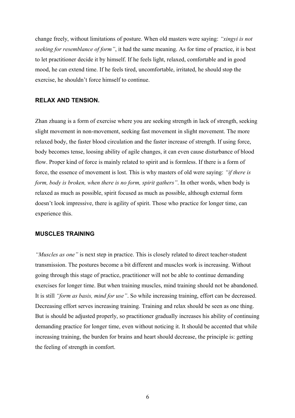change freely, without limitations of posture. When old masters were saying: *"xingyi is not seeking for resemblance of form"*, it had the same meaning. As for time of practice, it is best to let practitioner decide it by himself. If he feels light, relaxed, comfortable and in good mood, he can extend time. If he feels tired, uncomfortable, irritated, he should stop the exercise, he shouldn't force himself to continue.

#### **RELAX AND TENSION.**

Zhan zhuang is a form of exercise where you are seeking strength in lack of strength, seeking slight movement in non-movement, seeking fast movement in slight movement. The more relaxed body, the faster blood circulation and the faster increase of strength. If using force, body becomes tense, loosing ability of agile changes, it can even cause disturbance of blood flow. Proper kind of force is mainly related to spirit and is formless. If there is a form of force, the essence of movement is lost. This is why masters of old were saying: *"if there is form, body is broken, when there is no form, spirit gathers"*. In other words, when body is relaxed as much as possible, spirit focused as much as possible, although external form doesn't look impressive, there is agility of spirit. Those who practice for longer time, can experience this.

#### **MUSCLES TRAINING**

*"Muscles as one"* is next step in practice. This is closely related to direct teacher-student transmission. The postures become a bit different and muscles work is increasing. Without going through this stage of practice, practitioner will not be able to continue demanding exercises for longer time. But when training muscles, mind training should not be abandoned. It is still *"form as basis, mind for use"*. So while increasing training, effort can be decreased. Decreasing effort serves increasing training. Training and relax should be seen as one thing. But is should be adjusted properly, so practitioner gradually increases his ability of continuing demanding practice for longer time, even without noticing it. It should be accented that while increasing training, the burden for brains and heart should decrease, the principle is: getting the feeling of strength in comfort.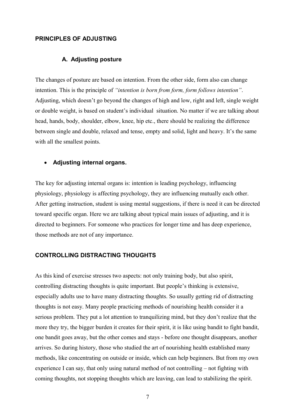#### **PRINCIPLES OF ADJUSTING**

#### **A. Adjusting posture**

The changes of posture are based on intention. From the other side, form also can change intention. This is the principle of *"intention is born from form, form follows intention"*. Adjusting, which doesn't go beyond the changes of high and low, right and left, single weight or double weight, is based on student's individual situation. No matter if we are talking about head, hands, body, shoulder, elbow, knee, hip etc., there should be realizing the difference between single and double, relaxed and tense, empty and solid, light and heavy. It's the same with all the smallest points.

#### **Adjusting internal organs.**

The key for adjusting internal organs is: intention is leading psychology, influencing physiology, physiology is affecting psychology, they are influencing mutually each other. After getting instruction, student is using mental suggestions, if there is need it can be directed toward specific organ. Here we are talking about typical main issues of adjusting, and it is directed to beginners. For someone who practices for longer time and has deep experience, those methods are not of any importance.

#### **CONTROLLING DISTRACTING THOUGHTS**

As this kind of exercise stresses two aspects: not only training body, but also spirit, controlling distracting thoughts is quite important. But people's thinking is extensive, especially adults use to have many distracting thoughts. So usually getting rid of distracting thoughts is not easy. Many people practicing methods of nourishing health consider it a serious problem. They put a lot attention to tranquilizing mind, but they don't realize that the more they try, the bigger burden it creates for their spirit, it is like using bandit to fight bandit, one bandit goes away, but the other comes and stays - before one thought disappears, another arrives. So during history, those who studied the art of nourishing health established many methods, like concentrating on outside or inside, which can help beginners. But from my own experience I can say, that only using natural method of not controlling – not fighting with coming thoughts, not stopping thoughts which are leaving, can lead to stabilizing the spirit.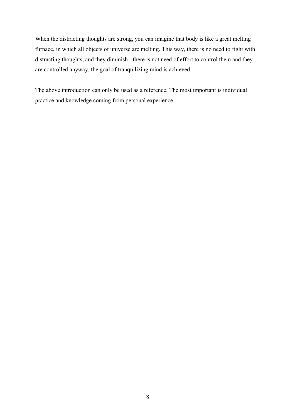When the distracting thoughts are strong, you can imagine that body is like a great melting furnace, in which all objects of universe are melting. This way, there is no need to fight with distracting thoughts, and they diminish - there is not need of effort to control them and they are controlled anyway, the goal of tranquilizing mind is achieved.

The above introduction can only be used as a reference. The most important is individual practice and knowledge coming from personal experience.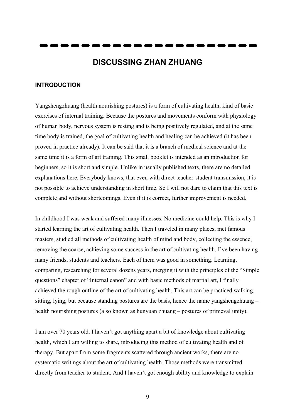#### **DISCUSSING ZHAN ZHUANG**

#### **INTRODUCTION**

Yangshengzhuang (health nourishing postures) is a form of cultivating health, kind of basic exercises of internal training. Because the postures and movements conform with physiology of human body, nervous system is resting and is being positively regulated, and at the same time body is trained, the goal of cultivating health and healing can be achieved (it has been proved in practice already). It can be said that it is a branch of medical science and at the same time it is a form of art training. This small booklet is intended as an introduction for beginners, so it is short and simple. Unlike in usually published texts, there are no detailed explanations here. Everybody knows, that even with direct teacher-student transmission, it is not possible to achieve understanding in short time. So I will not dare to claim that this text is complete and without shortcomings. Even if it is correct, further improvement is needed.

In childhood I was weak and suffered many illnesses. No medicine could help. This is why I started learning the art of cultivating health. Then I traveled in many places, met famous masters, studied all methods of cultivating health of mind and body, collecting the essence, removing the coarse, achieving some success in the art of cultivating health. I've been having many friends, students and teachers. Each of them was good in something. Learning, comparing, researching for several dozens years, merging it with the principles of the "Simple questions" chapter of "Internal canon" and with basic methods of martial art, I finally achieved the rough outline of the art of cultivating health. This art can be practiced walking, sitting, lying, but because standing postures are the basis, hence the name yangshengzhuang – health nourishing postures (also known as hunyuan zhuang – postures of primeval unity).

I am over 70 years old. I haven't got anything apart a bit of knowledge about cultivating health, which I am willing to share, introducing this method of cultivating health and of therapy. But apart from some fragments scattered through ancient works, there are no systematic writings about the art of cultivating health. Those methods were transmitted directly from teacher to student. And I haven't got enough ability and knowledge to explain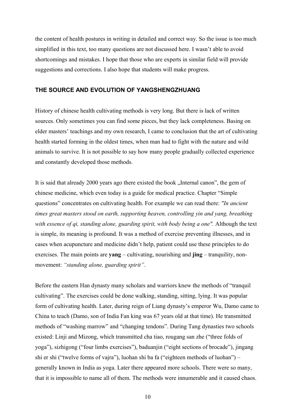the content of health postures in writing in detailed and correct way. So the issue is too much simplified in this text, too many questions are not discussed here. I wasn't able to avoid shortcomings and mistakes. I hope that those who are experts in similar field will provide suggestions and corrections. I also hope that students will make progress.

#### **THE SOURCE AND EVOLUTION OF YANGSHENGZHUANG**

History of chinese health cultivating methods is very long. But there is lack of written sources. Only sometimes you can find some pieces, but they lack completeness. Basing on elder masters' teachings and my own research, I came to conclusion that the art of cultivating health started forming in the oldest times, when man had to fight with the nature and wild animals to survive. It is not possible to say how many people gradually collected experience and constantly developed those methods.

It is said that already 2000 years ago there existed the book "Internal canon", the gem of chinese medicine, which even today is a guide for medical practice. Chapter "Simple questions" concentrates on cultivating health. For example we can read there: *"In ancient times great masters stood on earth, supporting heaven, controlling yin and yang, breathing with essence of qi, standing alone, guarding spirit, with body being a one".* Although the text is simple, its meaning is profound. It was a method of exercise preventing illnesses, and in cases when acupuncture and medicine didn't help, patient could use these principles to do exercises. The main points are **yang** – cultivating, nourishing and **jing** – tranquility, nonmovement: *"standing alone, guarding spirit"*.

Before the eastern Han dynasty many scholars and warriors knew the methods of "tranquil cultivating". The exercises could be done walking, standing, sitting, lying. It was popular form of cultivating health. Later, during reign of Liang dynasty's emperor Wu, Damo came to China to teach (Damo, son of India Fan king was 67 years old at that time). He transmitted methods of "washing marrow" and "changing tendons". During Tang dynasties two schools existed: Linji and Mizong, which transmitted cha tiao, rougang san zhe ("three folds of yoga"), sizhigong ("four limbs exercises"), baduanjin ("eight sections of brocade"), jingang shi er shi ("twelve forms of vajra"), luohan shi ba fa ("eighteen methods of luohan") – generally known in India as yoga. Later there appeared more schools. There were so many, that it is impossible to name all of them. The methods were innumerable and it caused chaos.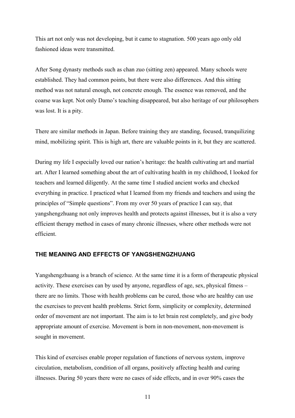This art not only was not developing, but it came to stagnation. 500 years ago only old fashioned ideas were transmitted.

After Song dynasty methods such as chan zuo (sitting zen) appeared. Many schools were established. They had common points, but there were also differences. And this sitting method was not natural enough, not concrete enough. The essence was removed, and the coarse was kept. Not only Damo's teaching disappeared, but also heritage of our philosophers was lost. It is a pity.

There are similar methods in Japan. Before training they are standing, focused, tranquilizing mind, mobilizing spirit. This is high art, there are valuable points in it, but they are scattered.

During my life I especially loved our nation's heritage: the health cultivating art and martial art. After I learned something about the art of cultivating health in my childhood, I looked for teachers and learned diligently. At the same time I studied ancient works and checked everything in practice. I practiced what I learned from my friends and teachers and using the principles of "Simple questions". From my over 50 years of practice I can say, that yangshengzhuang not only improves health and protects against illnesses, but it is also a very efficient therapy method in cases of many chronic illnesses, where other methods were not efficient.

#### **THE MEANING AND EFFECTS OF YANGSHENGZHUANG**

Yangshengzhuang is a branch of science. At the same time it is a form of therapeutic physical activity. These exercises can by used by anyone, regardless of age, sex, physical fitness – there are no limits. Those with health problems can be cured, those who are healthy can use the exercises to prevent health problems. Strict form, simplicity or complexity, determined order of movement are not important. The aim is to let brain rest completely, and give body appropriate amount of exercise. Movement is born in non-movement, non-movement is sought in movement.

This kind of exercises enable proper regulation of functions of nervous system, improve circulation, metabolism, condition of all organs, positively affecting health and curing illnesses. During 50 years there were no cases of side effects, and in over 90% cases the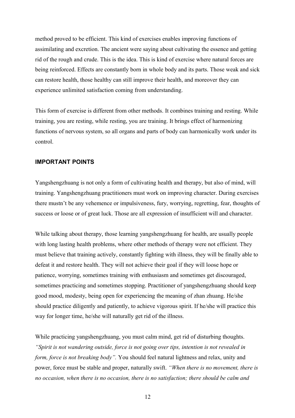method proved to be efficient. This kind of exercises enables improving functions of assimilating and excretion. The ancient were saying about cultivating the essence and getting rid of the rough and crude. This is the idea. This is kind of exercise where natural forces are being reinforced. Effects are constantly born in whole body and its parts. Those weak and sick can restore health, those healthy can still improve their health, and moreover they can experience unlimited satisfaction coming from understanding.

This form of exercise is different from other methods. It combines training and resting. While training, you are resting, while resting, you are training. It brings effect of harmonizing functions of nervous system, so all organs and parts of body can harmonically work under its control.

#### **IMPORTANT POINTS**

Yangshengzhuang is not only a form of cultivating health and therapy, but also of mind, will training. Yangshengzhuang practitioners must work on improving character. During exercises there mustn't be any vehemence or impulsiveness, fury, worrying, regretting, fear, thoughts of success or loose or of great luck. Those are all expression of insufficient will and character.

While talking about therapy, those learning yangshengzhuang for health, are usually people with long lasting health problems, where other methods of therapy were not efficient. They must believe that training actively, constantly fighting with illness, they will be finally able to defeat it and restore health. They will not achieve their goal if they will loose hope or patience, worrying, sometimes training with enthusiasm and sometimes get discouraged, sometimes practicing and sometimes stopping. Practitioner of yangshengzhuang should keep good mood, modesty, being open for experiencing the meaning of zhan zhuang. He/she should practice diligently and patiently, to achieve vigorous spirit. If he/she will practice this way for longer time, he/she will naturally get rid of the illness.

While practicing yangshengzhuang, you must calm mind, get rid of disturbing thoughts. *"Spirit is not wandering outside, force is not going over tips, intention is not revealed in form, force is not breaking body".* You should feel natural lightness and relax, unity and power, force must be stable and proper, naturally swift. *"When there is no movement, there is no occasion, when there is no occasion, there is no satisfaction; there should be calm and*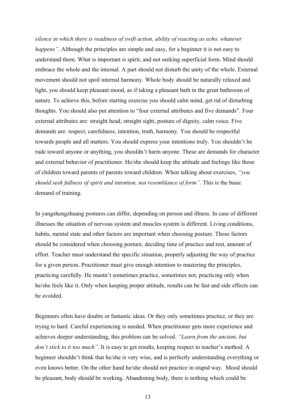*silence in which there is readiness of swift action, ability of reacting as echo, whatever happens*". Although the principles are simple and easy, for a beginner it is not easy to understand them. What is important is spirit, and not seeking superficial form. Mind should embrace the whole and the internal. A part should not disturb the unity of the whole. External movement should not spoil internal harmony. Whole body should be naturally relaxed and light, you should keep pleasant mood, as if taking a pleasant bath in the great bathroom of nature. To achieve this, before starting exercise you should calm mind, get rid of disturbing thoughts. You should also put attention to "four external attributes and five demands". Four external attributes are: straight head, straight sight, posture of dignity, calm voice. Five demands are: respect, carefulness, intention, truth, harmony. You should be respectful towards people and all matters. You should express your intentions truly. You shouldn't be rude toward anyone or anything, you shouldn't harm anyone. These are demands for character and external behavior of practitioner. He/she should keep the attitude and feelings like those of children toward parents of parents toward children. When talking about exercises, *"you should seek fullness of spirit and intention, not resemblance of form"*. This is the basic demand of training.

In yangshengzhuang postures can differ, depending on person and illness. In case of different illnesses the situation of nervous system and muscles system is different. Living conditions, habits, mental state and other factors are important when choosing posture. Those factors should be considered when choosing posture, deciding time of practice and rest, amount of effort. Teacher must understand the specific situation, properly adjusting the way of practice for a given person. Practitioner must give enough intention to mastering the principles, practicing carefully. He mustn't sometimes practice, sometimes not, practicing only when he/she feels like it. Only when keeping proper attitude, results can be fast and side effects can be avoided.

Beginners often have doubts or fantastic ideas. Or they only sometimes practice, or they are trying to hard. Careful experiencing is needed. When practitioner gets more experience and achieves deeper understanding, this problem can be solved. *"Learn from the ancient, but don't stick to it too much"*. It is easy to get results, keeping respect to teacher's method. A beginner shouldn't think that he/she is very wise, and is perfectly understanding everything or even knows better. On the other hand he/she should not practice in stupid way. Mood should be pleasant, body should be working. Abandoning body, there is nothing which could be

13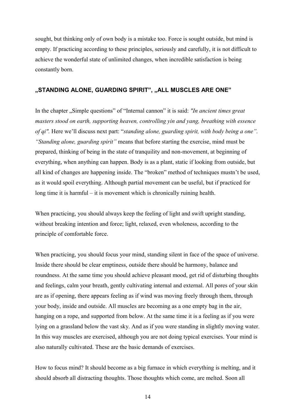sought, but thinking only of own body is a mistake too. Force is sought outside, but mind is empty. If practicing according to these principles, seriously and carefully, it is not difficult to achieve the wonderful state of unlimited changes, when incredible satisfaction is being constantly born.

#### **"STANDING ALONE, GUARDING SPIRIT", "ALL MUSCLES ARE ONE"**

In the chapter "Simple questions" of "Internal cannon" it is said: "*In ancient times great masters stood on earth, supporting heaven, controlling yin and yang, breathing with essence of qi".* Here we'll discuss next part: "*standing alone, guarding spirit, with body being a one". "Standing alone, guarding spirit"* means that before starting the exercise, mind must be prepared, thinking of being in the state of tranquility and non-movement, at beginning of everything, when anything can happen. Body is as a plant, static if looking from outside, but all kind of changes are happening inside. The "broken" method of techniques mustn't be used, as it would spoil everything. Although partial movement can be useful, but if practiced for long time it is harmful – it is movement which is chronically ruining health.

When practicing, you should always keep the feeling of light and swift upright standing, without breaking intention and force; light, relaxed, even wholeness, according to the principle of comfortable force.

When practicing, you should focus your mind, standing silent in face of the space of universe. Inside there should be clear emptiness, outside there should be harmony, balance and roundness. At the same time you should achieve pleasant mood, get rid of disturbing thoughts and feelings, calm your breath, gently cultivating internal and external. All pores of your skin are as if opening, there appears feeling as if wind was moving freely through them, through your body, inside and outside. All muscles are becoming as a one empty bag in the air, hanging on a rope, and supported from below. At the same time it is a feeling as if you were lying on a grassland below the vast sky. And as if you were standing in slightly moving water. In this way muscles are exercised, although you are not doing typical exercises. Your mind is also naturally cultivated. These are the basic demands of exercises.

How to focus mind? It should become as a big furnace in which everything is melting, and it should absorb all distracting thoughts. Those thoughts which come, are melted. Soon all

14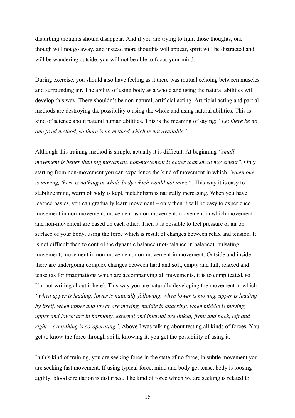disturbing thoughts should disappear. And if you are trying to fight those thoughts, one though will not go away, and instead more thoughts will appear, spirit will be distracted and will be wandering outside, you will not be able to focus your mind.

During exercise, you should also have feeling as it there was mutual echoing between muscles and surrounding air. The ability of using body as a whole and using the natural abilities will develop this way. There shouldn't be non-natural, artificial acting. Artificial acting and partial methods are destroying the possibility o using the whole and using natural abilities. This is kind of science about natural human abilities. This is the meaning of saying; *"Let there be no one fixed method, so there is no method which is not available"*.

Although this training method is simple, actually it is difficult. At beginning *"small movement is better than big movement, non-movement is better than small movement"*. Only starting from non-movement you can experience the kind of movement in which *"when one is moving, there is nothing in whole body which would not move"*. This way it is easy to stabilize mind, warm of body is kept, metabolism is naturally increasing. When you have learned basics, you can gradually learn movement – only then it will be easy to experience movement in non-movement, movement as non-movement, movement in which movement and non-movement are based on each other. Then it is possible to feel pressure of air on surface of your body, using the force which is result of changes between relax and tension. It is not difficult then to control the dynamic balance (not-balance in balance), pulsating movement, movement in non-movement, non-movement in movement. Outside and inside there are undergoing complex changes between hard and soft, empty and full, relaxed and tense (as for imaginations which are accompanying all movements, it is to complicated, so I'm not writing about it here). This way you are naturally developing the movement in which *"when upper is leading, lower is naturally following, when lower is moving, upper is leading by itself, when upper and lower are moving, middle is attacking, when middle is moving, upper and lower are in harmony, external and internal are linked, front and back, left and right – everything is co-operating"*. Above I was talking about testing all kinds of forces. You get to know the force through shi li, knowing it, you get the possibility of using it.

In this kind of training, you are seeking force in the state of no force, in subtle movement you are seeking fast movement. If using typical force, mind and body get tense, body is loosing agility, blood circulation is disturbed. The kind of force which we are seeking is related to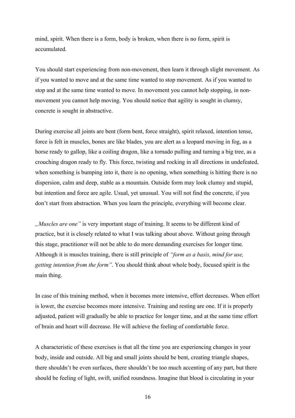mind, spirit. When there is a form, body is broken, when there is no form, spirit is accumulated.

You should start experiencing from non-movement, then learn it through slight movement. As if you wanted to move and at the same time wanted to stop movement. As if you wanted to stop and at the same time wanted to move. In movement you cannot help stopping, in nonmovement you cannot help moving. You should notice that agility is sought in clumsy, concrete is sought in abstractive.

During exercise all joints are bent (form bent, force straight), spirit relaxed, intention tense, force is felt in muscles, bones are like blades, you are alert as a leopard moving in fog, as a horse ready to gallop, like a coiling dragon, like a tornado pulling and turning a big tree, as a crouching dragon ready to fly. This force, twisting and rocking in all directions in undefeated, when something is bumping into it, there is no opening, when something is hitting there is no dispersion, calm and deep, stable as a mountain. Outside form may look clumsy and stupid, but intention and force are agile. Usual, yet unusual. You will not find the concrete, if you don't start from abstraction. When you learn the principle, everything will become clear.

*"Muscles are one"* is very important stage of training. It seems to be different kind of practice, but it is closely related to what I was talking about above. Without going through this stage, practitioner will not be able to do more demanding exercises for longer time. Although it is muscles training, there is still principle of *"form as a basis, mind for use, getting intention from the form"*. You should think about whole body, focused spirit is the main thing.

In case of this training method, when it becomes more intensive, effort decreases. When effort is lower, the exercise becomes more intensive. Training and resting are one. If it is properly adjusted, patient will gradually be able to practice for longer time, and at the same time effort of brain and heart will decrease. He will achieve the feeling of comfortable force.

A characteristic of these exercises is that all the time you are experiencing changes in your body, inside and outside. All big and small joints should be bent, creating triangle shapes, there shouldn't be even surfaces, there shouldn't be too much accenting of any part, but there should be feeling of light, swift, unified roundness. Imagine that blood is circulating in your

16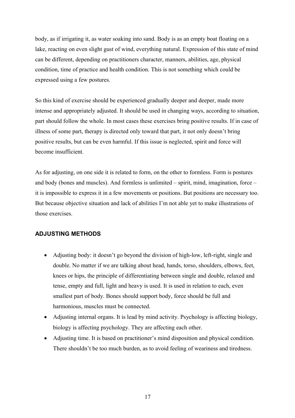body, as if irrigating it, as water soaking into sand. Body is as an empty boat floating on a lake, reacting on even slight gust of wind, everything natural. Expression of this state of mind can be different, depending on practitioners character, manners, abilities, age, physical condition, time of practice and health condition. This is not something which could be expressed using a few postures.

So this kind of exercise should be experienced gradually deeper and deeper, made more intense and appropriately adjusted. It should be used in changing ways, according to situation, part should follow the whole. In most cases these exercises bring positive results. If in case of illness of some part, therapy is directed only toward that part, it not only doesn't bring positive results, but can be even harmful. If this issue is neglected, spirit and force will become insufficient.

As for adjusting, on one side it is related to form, on the other to formless. Form is postures and body (bones and muscles). And formless is unlimited – spirit, mind, imagination, force – it is impossible to express it in a few movements or positions. But positions are necessary too. But because objective situation and lack of abilities I'm not able yet to make illustrations of those exercises.

#### **ADJUSTING METHODS**

- Adjusting body: it doesn't go beyond the division of high-low, left-right, single and double. No matter if we are talking about head, hands, torso, shoulders, elbows, feet, knees or hips, the principle of differentiating between single and double, relaxed and tense, empty and full, light and heavy is used. It is used in relation to each, even smallest part of body. Bones should support body, force should be full and harmonious, muscles must be connected.
- Adjusting internal organs. It is lead by mind activity. Psychology is affecting biology, biology is affecting psychology. They are affecting each other.
- Adjusting time. It is based on practitioner's mind disposition and physical condition. There shouldn't be too much burden, as to avoid feeling of weariness and tiredness.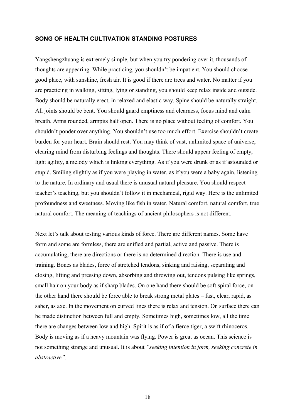#### **SONG OF HEALTH CULTIVATION STANDING POSTURES**

Yangshengzhuang is extremely simple, but when you try pondering over it, thousands of thoughts are appearing. While practicing, you shouldn't be impatient. You should choose good place, with sunshine, fresh air. It is good if there are trees and water. No matter if you are practicing in walking, sitting, lying or standing, you should keep relax inside and outside. Body should be naturally erect, in relaxed and elastic way. Spine should be naturally straight. All joints should be bent. You should guard emptiness and clearness, focus mind and calm breath. Arms rounded, armpits half open. There is no place without feeling of comfort. You shouldn't ponder over anything. You shouldn't use too much effort. Exercise shouldn't create burden for your heart. Brain should rest. You may think of vast, unlimited space of universe, clearing mind from disturbing feelings and thoughts. There should appear feeling of empty, light agility, a melody which is linking everything. As if you were drunk or as if astounded or stupid. Smiling slightly as if you were playing in water, as if you were a baby again, listening to the nature. In ordinary and usual there is unusual natural pleasure. You should respect teacher's teaching, but you shouldn't follow it in mechanical, rigid way. Here is the unlimited profoundness and sweetness. Moving like fish in water. Natural comfort, natural comfort, true natural comfort. The meaning of teachings of ancient philosophers is not different.

Next let's talk about testing various kinds of force. There are different names. Some have form and some are formless, there are unified and partial, active and passive. There is accumulating, there are directions or there is no determined direction. There is use and training. Bones as blades, force of stretched tendons, sinking and raising, separating and closing, lifting and pressing down, absorbing and throwing out, tendons pulsing like springs, small hair on your body as if sharp blades. On one hand there should be soft spiral force, on the other hand there should be force able to break strong metal plates – fast, clear, rapid, as saber, as axe. In the movement on curved lines there is relax and tension. On surface there can be made distinction between full and empty. Sometimes high, sometimes low, all the time there are changes between low and high. Spirit is as if of a fierce tiger, a swift rhinoceros. Body is moving as if a heavy mountain was flying. Power is great as ocean. This science is not something strange and unusual. It is about *"seeking intention in form, seeking concrete in abstractive"*.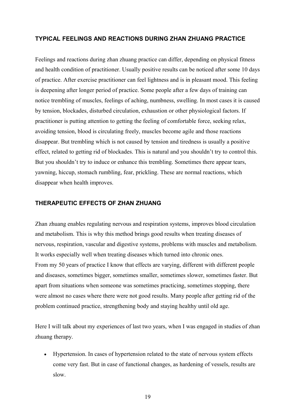#### **TYPICAL FEELINGS AND REACTIONS DURING ZHAN ZHUANG PRACTICE**

Feelings and reactions during zhan zhuang practice can differ, depending on physical fitness and health condition of practitioner. Usually positive results can be noticed after some 10 days of practice. After exercise practitioner can feel lightness and is in pleasant mood. This feeling is deepening after longer period of practice. Some people after a few days of training can notice trembling of muscles, feelings of aching, numbness, swelling. In most cases it is caused by tension, blockades, disturbed circulation, exhaustion or other physiological factors. If practitioner is putting attention to getting the feeling of comfortable force, seeking relax, avoiding tension, blood is circulating freely, muscles become agile and those reactions disappear. But trembling which is not caused by tension and tiredness is usually a positive effect, related to getting rid of blockades. This is natural and you shouldn't try to control this. But you shouldn't try to induce or enhance this trembling. Sometimes there appear tears, yawning, hiccup, stomach rumbling, fear, prickling. These are normal reactions, which disappear when health improves.

#### **THERAPEUTIC EFFECTS OF ZHAN ZHUANG**

Zhan zhuang enables regulating nervous and respiration systems, improves blood circulation and metabolism. This is why this method brings good results when treating diseases of nervous, respiration, vascular and digestive systems, problems with muscles and metabolism. It works especially well when treating diseases which turned into chronic ones. From my 50 years of practice I know that effects are varying, different with different people and diseases, sometimes bigger, sometimes smaller, sometimes slower, sometimes faster. But apart from situations when someone was sometimes practicing, sometimes stopping, there were almost no cases where there were not good results. Many people after getting rid of the problem continued practice, strengthening body and staying healthy until old age.

Here I will talk about my experiences of last two years, when I was engaged in studies of zhan zhuang therapy.

 Hypertension. In cases of hypertension related to the state of nervous system effects come very fast. But in case of functional changes, as hardening of vessels, results are slow.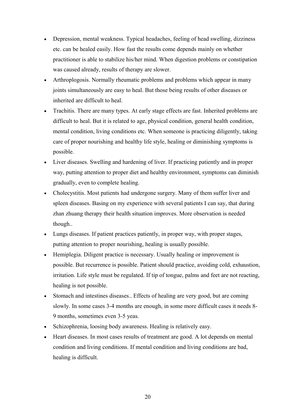- Depression, mental weakness. Typical headaches, feeling of head swelling, dizziness etc. can be healed easily. How fast the results come depends mainly on whether practitioner is able to stabilize his/her mind. When digestion problems or constipation was caused already, results of therapy are slower.
- Arthroplogosis. Normally rheumatic problems and problems which appear in many joints simultaneously are easy to heal. But those being results of other diseases or inherited are difficult to heal.
- Trachitis. There are many types. At early stage effects are fast. Inherited problems are difficult to heal. But it is related to age, physical condition, general health condition, mental condition, living conditions etc. When someone is practicing diligently, taking care of proper nourishing and healthy life style, healing or diminishing symptoms is possible.
- Liver diseases. Swelling and hardening of liver. If practicing patiently and in proper way, putting attention to proper diet and healthy environment, symptoms can diminish gradually, even to complete healing.
- Cholecystitis. Most patients had undergone surgery. Many of them suffer liver and spleen diseases. Basing on my experience with several patients I can say, that during zhan zhuang therapy their health situation improves. More observation is needed though..
- Lungs diseases. If patient practices patiently, in proper way, with proper stages, putting attention to proper nourishing, healing is usually possible.
- Hemiplegia. Diligent practice is necessary. Usually healing or improvement is possible. But recurrence is possible. Patient should practice, avoiding cold, exhaustion, irritation. Life style must be regulated. If tip of tongue, palms and feet are not reacting, healing is not possible.
- Stomach and intestines diseases.. Effects of healing are very good, but are coming slowly. In some cases 3-4 months are enough, in some more difficult cases it needs 8- 9 months, sometimes even 3-5 yeas.
- Schizophrenia, loosing body awareness. Healing is relatively easy.
- Heart diseases. In most cases results of treatment are good. A lot depends on mental condition and living conditions. If mental condition and living conditions are bad, healing is difficult.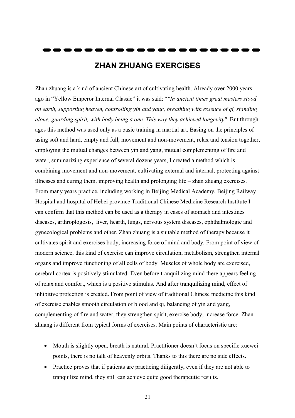## **ZHAN ZHUANG EXERCISES**

Zhan zhuang is a kind of ancient Chinese art of cultivating health. Already over 2000 years ago in "Yellow Emperor Internal Classic" it was said: "*"In ancient times great masters stood on earth, supporting heaven, controlling yin and yang, breathing with essence of qi, standing alone, guarding spirit, with body being a one. This way they achieved longevity".* But through ages this method was used only as a basic training in martial art. Basing on the principles of using soft and hard, empty and full, movement and non-movement, relax and tension together, employing the mutual changes between yin and yang, mutual complementing of fire and water, summarizing experience of several dozens years, I created a method which is combining movement and non-movement, cultivating external and internal, protecting against illnesses and curing them, improving health and prolonging life – zhan zhuang exercises. From many years practice, including working in Beijing Medical Academy, Beijing Railway Hospital and hospital of Hebei province Traditional Chinese Medicine Research Institute I can confirm that this method can be used as a therapy in cases of stomach and intestines diseases, arthroplogosis, liver, hearth, lungs, nervous system diseases, ophthalmologic and gynecological problems and other. Zhan zhuang is a suitable method of therapy because it cultivates spirit and exercises body, increasing force of mind and body. From point of view of modern science, this kind of exercise can improve circulation, metabolism, strengthen internal organs and improve functioning of all cells of body. Muscles of whole body are exercised, cerebral cortex is positively stimulated. Even before tranquilizing mind there appears feeling of relax and comfort, which is a positive stimulus. And after tranquilizing mind, effect of inhibitive protection is created. From point of view of traditional Chinese medicine this kind of exercise enables smooth circulation of blood and qi, balancing of yin and yang, complementing of fire and water, they strengthen spirit, exercise body, increase force. Zhan zhuang is different from typical forms of exercises. Main points of characteristic are:

- Mouth is slightly open, breath is natural. Practitioner doesn't focus on specific xuewei points, there is no talk of heavenly orbits. Thanks to this there are no side effects.
- Practice proves that if patients are practicing diligently, even if they are not able to tranquilize mind, they still can achieve quite good therapeutic results.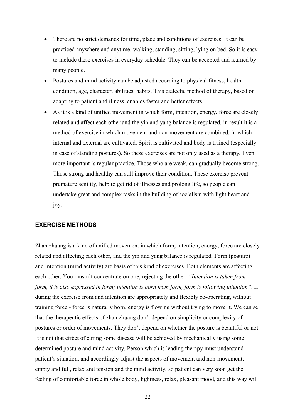- There are no strict demands for time, place and conditions of exercises. It can be practiced anywhere and anytime, walking, standing, sitting, lying on bed. So it is easy to include these exercises in everyday schedule. They can be accepted and learned by many people.
- Postures and mind activity can be adjusted according to physical fitness, health condition, age, character, abilities, habits. This dialectic method of therapy, based on adapting to patient and illness, enables faster and better effects.
- As it is a kind of unified movement in which form, intention, energy, force are closely related and affect each other and the yin and yang balance is regulated, in result it is a method of exercise in which movement and non-movement are combined, in which internal and external are cultivated. Spirit is cultivated and body is trained (especially in case of standing postures). So these exercises are not only used as a therapy. Even more important is regular practice. Those who are weak, can gradually become strong. Those strong and healthy can still improve their condition. These exercise prevent premature senility, help to get rid of illnesses and prolong life, so people can undertake great and complex tasks in the building of socialism with light heart and joy.

#### **EXERCISE METHODS**

Zhan zhuang is a kind of unified movement in which form, intention, energy, force are closely related and affecting each other, and the yin and yang balance is regulated. Form (posture) and intention (mind activity) are basis of this kind of exercises. Both elements are affecting each other. You mustn't concentrate on one, rejecting the other. *"Intention is taken from form, it is also expressed in form; intention is born from form, form is following intention"*. If during the exercise from and intention are appropriately and flexibly co-operating, without training force - force is naturally born, energy is flowing without trying to move it. We can se that the therapeutic effects of zhan zhuang don't depend on simplicity or complexity of postures or order of movements. They don't depend on whether the posture is beautiful or not. It is not that effect of curing some disease will be achieved by mechanically using some determined posture and mind activity. Person which is leading therapy must understand patient's situation, and accordingly adjust the aspects of movement and non-movement, empty and full, relax and tension and the mind activity, so patient can very soon get the feeling of comfortable force in whole body, lightness, relax, pleasant mood, and this way will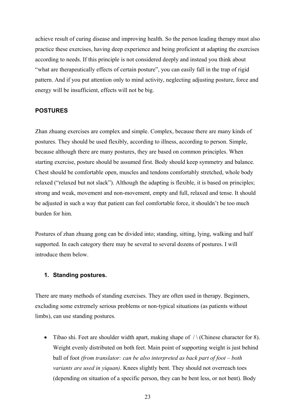achieve result of curing disease and improving health. So the person leading therapy must also practice these exercises, having deep experience and being proficient at adapting the exercises according to needs. If this principle is not considered deeply and instead you think about "what are therapeutically effects of certain posture", you can easily fall in the trap of rigid pattern. And if you put attention only to mind activity, neglecting adjusting posture, force and energy will be insufficient, effects will not be big.

#### **POSTURES**

Zhan zhuang exercises are complex and simple. Complex, because there are many kinds of postures. They should be used flexibly, according to illness, according to person. Simple, because although there are many postures, they are based on common principles. When starting exercise, posture should be assumed first. Body should keep symmetry and balance. Chest should be comfortable open, muscles and tendons comfortably stretched, whole body relaxed ("relaxed but not slack"). Although the adapting is flexible, it is based on principles; strong and weak, movement and non-movement, empty and full, relaxed and tense. It should be adjusted in such a way that patient can feel comfortable force, it shouldn't be too much burden for him.

Postures of zhan zhuang gong can be divided into; standing, sitting, lying, walking and half supported. In each category there may be several to several dozens of postures. I will introduce them below.

#### **1. Standing postures.**

There are many methods of standing exercises. They are often used in therapy. Beginners, excluding some extremely serious problems or non-typical situations (as patients without limbs), can use standing postures.

• Tibao shi. Feet are shoulder width apart, making shape of  $\wedge$  (Chinese character for 8). Weight evenly distributed on both feet. Main point of supporting weight is just behind ball of foot *(from translator: can be also interpreted as back part of foot – both variants are used in yiquan)*. Knees slightly bent. They should not overreach toes (depending on situation of a specific person, they can be bent less, or not bent). Body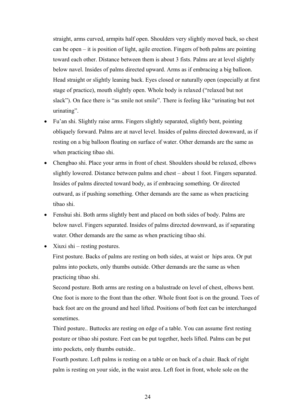straight, arms curved, armpits half open. Shoulders very slightly moved back, so chest can be open – it is position of light, agile erection. Fingers of both palms are pointing toward each other. Distance between them is about 3 fists. Palms are at level slightly below navel. Insides of palms directed upward. Arms as if embracing a big balloon. Head straight or slightly leaning back. Eyes closed or naturally open (especially at first stage of practice), mouth slightly open. Whole body is relaxed ("relaxed but not slack"). On face there is "as smile not smile". There is feeling like "urinating but not urinating".

- Fu'an shi. Slightly raise arms. Fingers slightly separated, slightly bent, pointing obliquely forward. Palms are at navel level. Insides of palms directed downward, as if resting on a big balloon floating on surface of water. Other demands are the same as when practicing tibao shi.
- Chengbao shi. Place your arms in front of chest. Shoulders should be relaxed, elbows slightly lowered. Distance between palms and chest – about 1 foot. Fingers separated. Insides of palms directed toward body, as if embracing something. Or directed outward, as if pushing something. Other demands are the same as when practicing tibao shi.
- Fenshui shi. Both arms slightly bent and placed on both sides of body. Palms are below navel. Fingers separated. Insides of palms directed downward, as if separating water. Other demands are the same as when practicing tibao shi.
- $\bullet$  Xiuxi shi resting postures.

First posture. Backs of palms are resting on both sides, at waist or hips area. Or put palms into pockets, only thumbs outside. Other demands are the same as when practicing tibao shi.

Second posture. Both arms are resting on a balustrade on level of chest, elbows bent. One foot is more to the front than the other. Whole front foot is on the ground. Toes of back foot are on the ground and heel lifted. Positions of both feet can be interchanged sometimes.

Third posture.. Buttocks are resting on edge of a table. You can assume first resting posture or tibao shi posture. Feet can be put together, heels lifted. Palms can be put into pockets, only thumbs outside..

Fourth posture. Left palms is resting on a table or on back of a chair. Back of right palm is resting on your side, in the waist area. Left foot in front, whole sole on the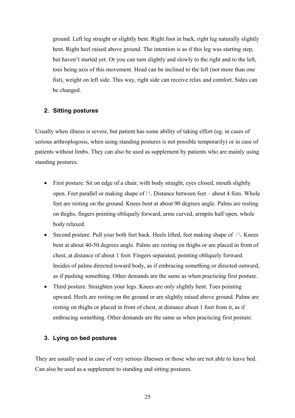ground. Left leg straight or slightly bent. Right foot in back, right leg naturally slightly bent. Right heel raised above ground. The intention is as if this leg was starting step, but haven't started yet. Or you can turn slightly and slowly to the right and to the left, toes being axis of this movement. Head can be inclined to the left (not more than one fist), weight on left side. This way, right side can receive relax and comfort. Sides can be changed.

#### **2. Sitting postures**

Usually when illness is severe, but patient has some ability of taking effort (eg. in cases of serious arthroplogosis, when using standing postures is not possible temporarily) or in case of patients without limbs. They can also be used as supplement by patients who are mainly using standing postures.

- First posture. Sit on edge of a chair, with body straight, eyes closed, mouth slightly open. Feet parallel or making shape of  $\land$ . Distance between feet – about 4 fists. Whole feet are resting on the ground. Knees bent at about 90 degrees angle. Palms are resting on thighs, fingers pointing obliquely forward, arms curved, armpits half open, whole body relaxed.
- Second posture. Pull your both feet back. Heels lifted, feet making shape of  $\land$ . Knees bent at about 40-50 degrees angle. Palms are resting on thighs or are placed in front of chest, at distance of about 1 foot. Fingers separated, pointing obliquely forward. Insides of palms directed toward body, as if embracing something or directed outward, as if pushing something. Other demands are the same as when practicing first posture.
- Third posture. Straighten your legs. Knees are only slightly bent. Toes pointing upward. Heels are resting on the ground or are slightly raised above ground. Palms are resting on thighs or placed in front of chest, at distance about 1 foot from it, as if embracing something. Other demands are the same as when practicing first posture.

#### **3. Lying on bed postures**

They are usually used in case of very serious illnesses or those who are not able to leave bed. Can also be used as a supplement to standing and sitting postures.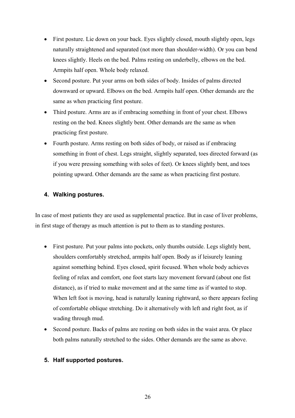- First posture. Lie down on your back. Eyes slightly closed, mouth slightly open, legs naturally straightened and separated (not more than shoulder-width). Or you can bend knees slightly. Heels on the bed. Palms resting on underbelly, elbows on the bed. Armpits half open. Whole body relaxed.
- Second posture. Put your arms on both sides of body. Insides of palms directed downward or upward. Elbows on the bed. Armpits half open. Other demands are the same as when practicing first posture.
- Third posture. Arms are as if embracing something in front of your chest. Elbows resting on the bed. Knees slightly bent. Other demands are the same as when practicing first posture.
- Fourth posture. Arms resting on both sides of body, or raised as if embracing something in front of chest. Legs straight, slightly separated, toes directed forward (as if you were pressing something with soles of feet). Or knees slightly bent, and toes pointing upward. Other demands are the same as when practicing first posture.

#### **4. Walking postures.**

In case of most patients they are used as supplemental practice. But in case of liver problems, in first stage of therapy as much attention is put to them as to standing postures.

- First posture. Put your palms into pockets, only thumbs outside. Legs slightly bent, shoulders comfortably stretched, armpits half open. Body as if leisurely leaning against something behind. Eyes closed, spirit focused. When whole body achieves feeling of relax and comfort, one foot starts lazy movement forward (about one fist distance), as if tried to make movement and at the same time as if wanted to stop. When left foot is moving, head is naturally leaning rightward, so there appears feeling of comfortable oblique stretching. Do it alternatively with left and right foot, as if wading through mud.
- Second posture. Backs of palms are resting on both sides in the waist area. Or place both palms naturally stretched to the sides. Other demands are the same as above.

#### **5. Half supported postures.**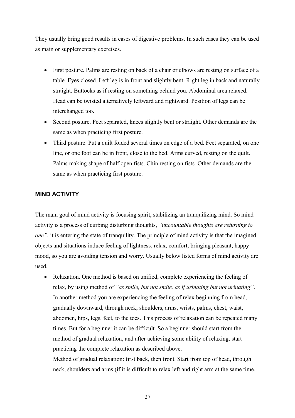They usually bring good results in cases of digestive problems. In such cases they can be used as main or supplementary exercises.

- First posture. Palms are resting on back of a chair or elbows are resting on surface of a table. Eyes closed. Left leg is in front and slightly bent. Right leg in back and naturally straight. Buttocks as if resting on something behind you. Abdominal area relaxed. Head can be twisted alternatively leftward and rightward. Position of legs can be interchanged too.
- Second posture. Feet separated, knees slightly bent or straight. Other demands are the same as when practicing first posture.
- Third posture. Put a quilt folded several times on edge of a bed. Feet separated, on one line, or one foot can be in front, close to the bed. Arms curved, resting on the quilt. Palms making shape of half open fists. Chin resting on fists. Other demands are the same as when practicing first posture.

#### **MIND ACTIVITY**

The main goal of mind activity is focusing spirit, stabilizing an tranquilizing mind. So mind activity is a process of curbing disturbing thoughts, *"uncountable thoughts are returning to one"*, it is entering the state of tranquility. The principle of mind activity is that the imagined objects and situations induce feeling of lightness, relax, comfort, bringing pleasant, happy mood, so you are avoiding tension and worry. Usually below listed forms of mind activity are used.

 Relaxation. One method is based on unified, complete experiencing the feeling of relax, by using method of *"as smile, but not smile, as if urinating but not urinating"*. In another method you are experiencing the feeling of relax beginning from head, gradually downward, through neck, shoulders, arms, wrists, palms, chest, waist, abdomen, hips, legs, feet, to the toes. This process of relaxation can be repeated many times. But for a beginner it can be difficult. So a beginner should start from the method of gradual relaxation, and after achieving some ability of relaxing, start practicing the complete relaxation as described above.

Method of gradual relaxation: first back, then front. Start from top of head, through neck, shoulders and arms (if it is difficult to relax left and right arm at the same time,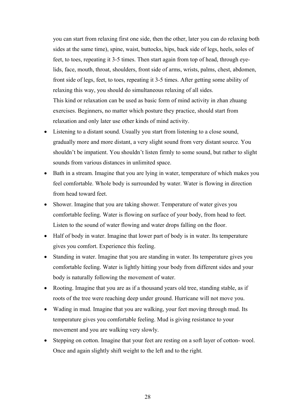you can start from relaxing first one side, then the other, later you can do relaxing both sides at the same time), spine, waist, buttocks, hips, back side of legs, heels, soles of feet, to toes, repeating it 3-5 times. Then start again from top of head, through eyelids, face, mouth, throat, shoulders, front side of arms, wrists, palms, chest, abdomen, front side of legs, feet, to toes, repeating it 3-5 times. After getting some ability of relaxing this way, you should do simultaneous relaxing of all sides. This kind or relaxation can be used as basic form of mind activity in zhan zhuang exercises. Beginners, no matter which posture they practice, should start from relaxation and only later use other kinds of mind activity.

- Listening to a distant sound. Usually you start from listening to a close sound, gradually more and more distant, a very slight sound from very distant source. You shouldn't be impatient. You shouldn't listen firmly to some sound, but rather to slight sounds from various distances in unlimited space.
- Bath in a stream. Imagine that you are lying in water, temperature of which makes you feel comfortable. Whole body is surrounded by water. Water is flowing in direction from head toward feet.
- Shower. Imagine that you are taking shower. Temperature of water gives you comfortable feeling. Water is flowing on surface of your body, from head to feet. Listen to the sound of water flowing and water drops falling on the floor.
- Half of body in water. Imagine that lower part of body is in water. Its temperature gives you comfort. Experience this feeling.
- Standing in water. Imagine that you are standing in water. Its temperature gives you comfortable feeling. Water is lightly hitting your body from different sides and your body is naturally following the movement of water.
- Rooting. Imagine that you are as if a thousand years old tree, standing stable, as if roots of the tree were reaching deep under ground. Hurricane will not move you.
- Wading in mud. Imagine that you are walking, your feet moving through mud. Its temperature gives you comfortable feeling. Mud is giving resistance to your movement and you are walking very slowly.
- Stepping on cotton. Imagine that your feet are resting on a soft layer of cotton- wool. Once and again slightly shift weight to the left and to the right.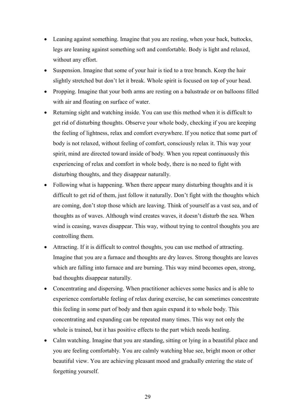- Leaning against something. Imagine that you are resting, when your back, buttocks, legs are leaning against something soft and comfortable. Body is light and relaxed, without any effort.
- Suspension. Imagine that some of your hair is tied to a tree branch. Keep the hair slightly stretched but don't let it break. Whole spirit is focused on top of your head.
- Propping. Imagine that your both arms are resting on a balustrade or on balloons filled with air and floating on surface of water.
- Returning sight and watching inside. You can use this method when it is difficult to get rid of disturbing thoughts. Observe your whole body, checking if you are keeping the feeling of lightness, relax and comfort everywhere. If you notice that some part of body is not relaxed, without feeling of comfort, consciously relax it. This way your spirit, mind are directed toward inside of body. When you repeat continuously this experiencing of relax and comfort in whole body, there is no need to fight with disturbing thoughts, and they disappear naturally.
- Following what is happening. When there appear many disturbing thoughts and it is difficult to get rid of them, just follow it naturally. Don't fight with the thoughts which are coming, don't stop those which are leaving. Think of yourself as a vast sea, and of thoughts as of waves. Although wind creates waves, it doesn't disturb the sea. When wind is ceasing, waves disappear. This way, without trying to control thoughts you are controlling them.
- Attracting. If it is difficult to control thoughts, you can use method of attracting. Imagine that you are a furnace and thoughts are dry leaves. Strong thoughts are leaves which are falling into furnace and are burning. This way mind becomes open, strong, bad thoughts disappear naturally.
- Concentrating and dispersing. When practitioner achieves some basics and is able to experience comfortable feeling of relax during exercise, he can sometimes concentrate this feeling in some part of body and then again expand it to whole body. This concentrating and expanding can be repeated many times. This way not only the whole is trained, but it has positive effects to the part which needs healing.
- Calm watching. Imagine that you are standing, sitting or lying in a beautiful place and you are feeling comfortably. You are calmly watching blue see, bright moon or other beautiful view. You are achieving pleasant mood and gradually entering the state of forgetting yourself.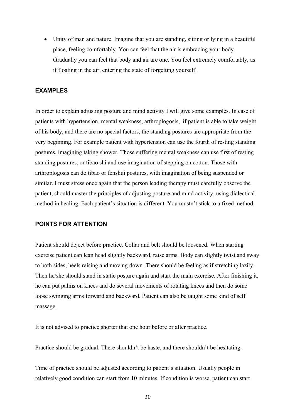Unity of man and nature. Imagine that you are standing, sitting or lying in a beautiful place, feeling comfortably. You can feel that the air is embracing your body. Gradually you can feel that body and air are one. You feel extremely comfortably, as if floating in the air, entering the state of forgetting yourself.

#### **EXAMPLES**

In order to explain adjusting posture and mind activity I will give some examples. In case of patients with hypertension, mental weakness, arthroplogosis, if patient is able to take weight of his body, and there are no special factors, the standing postures are appropriate from the very beginning. For example patient with hypertension can use the fourth of resting standing postures, imagining taking shower. Those suffering mental weakness can use first of resting standing postures, or tibao shi and use imagination of stepping on cotton. Those with arthroplogosis can do tibao or fenshui postures, with imagination of being suspended or similar. I must stress once again that the person leading therapy must carefully observe the patient, should master the principles of adjusting posture and mind activity, using dialectical method in healing. Each patient's situation is different. You mustn't stick to a fixed method.

#### **POINTS FOR ATTENTION**

Patient should deject before practice. Collar and belt should be loosened. When starting exercise patient can lean head slightly backward, raise arms. Body can slightly twist and sway to both sides, heels raising and moving down. There should be feeling as if stretching lazily. Then he/she should stand in static posture again and start the main exercise. After finishing it, he can put palms on knees and do several movements of rotating knees and then do some loose swinging arms forward and backward. Patient can also be taught some kind of self massage.

It is not advised to practice shorter that one hour before or after practice.

Practice should be gradual. There shouldn't be haste, and there shouldn't be hesitating.

Time of practice should be adjusted according to patient's situation. Usually people in relatively good condition can start from 10 minutes. If condition is worse, patient can start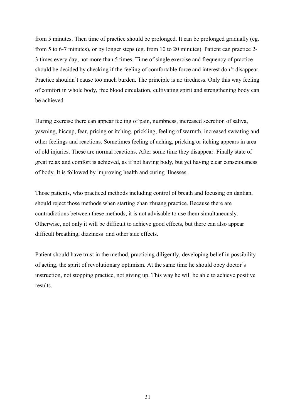from 5 minutes. Then time of practice should be prolonged. It can be prolonged gradually (eg. from 5 to 6-7 minutes), or by longer steps (eg. from 10 to 20 minutes). Patient can practice 2- 3 times every day, not more than 5 times. Time of single exercise and frequency of practice should be decided by checking if the feeling of comfortable force and interest don't disappear. Practice shouldn't cause too much burden. The principle is no tiredness. Only this way feeling of comfort in whole body, free blood circulation, cultivating spirit and strengthening body can be achieved.

During exercise there can appear feeling of pain, numbness, increased secretion of saliva, yawning, hiccup, fear, pricing or itching, prickling, feeling of warmth, increased sweating and other feelings and reactions. Sometimes feeling of aching, pricking or itching appears in area of old injuries. These are normal reactions. After some time they disappear. Finally state of great relax and comfort is achieved, as if not having body, but yet having clear consciousness of body. It is followed by improving health and curing illnesses.

Those patients, who practiced methods including control of breath and focusing on dantian, should reject those methods when starting zhan zhuang practice. Because there are contradictions between these methods, it is not advisable to use them simultaneously. Otherwise, not only it will be difficult to achieve good effects, but there can also appear difficult breathing, dizziness and other side effects.

Patient should have trust in the method, practicing diligently, developing belief in possibility of acting, the spirit of revolutionary optimism. At the same time he should obey doctor's instruction, not stopping practice, not giving up. This way he will be able to achieve positive results.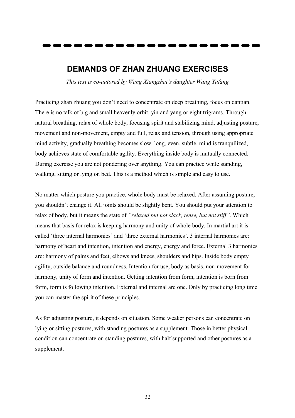#### **DEMANDS OF ZHAN ZHUANG EXERCISES**

*This text is co-autored by Wang Xiangzhai's daughter Wang Yufang*

Practicing zhan zhuang you don't need to concentrate on deep breathing, focus on dantian. There is no talk of big and small heavenly orbit, yin and yang or eight trigrams. Through natural breathing, relax of whole body, focusing spirit and stabilizing mind, adjusting posture, movement and non-movement, empty and full, relax and tension, through using appropriate mind activity, gradually breathing becomes slow, long, even, subtle, mind is tranquilized, body achieves state of comfortable agility. Everything inside body is mutually connected. During exercise you are not pondering over anything. You can practice while standing, walking, sitting or lying on bed. This is a method which is simple and easy to use.

No matter which posture you practice, whole body must be relaxed. After assuming posture, you shouldn't change it. All joints should be slightly bent. You should put your attention to relax of body, but it means the state of *"relaxed but not slack, tense, but not stiff"*. Which means that basis for relax is keeping harmony and unity of whole body. In martial art it is called 'three internal harmonies' and 'three external harmonies'. 3 internal harmonies are: harmony of heart and intention, intention and energy, energy and force. External 3 harmonies are: harmony of palms and feet, elbows and knees, shoulders and hips. Inside body empty agility, outside balance and roundness. Intention for use, body as basis, non-movement for harmony, unity of form and intention. Getting intention from form, intention is born from form, form is following intention. External and internal are one. Only by practicing long time you can master the spirit of these principles.

As for adjusting posture, it depends on situation. Some weaker persons can concentrate on lying or sitting postures, with standing postures as a supplement. Those in better physical condition can concentrate on standing postures, with half supported and other postures as a supplement.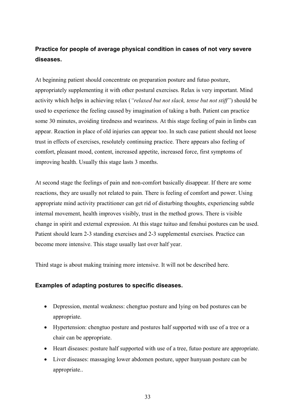### **Practice for people of average physical condition in cases of not very severe diseases.**

At beginning patient should concentrate on preparation posture and futuo posture, appropriately supplementing it with other postural exercises. Relax is very important. Mind activity which helps in achieving relax (*"relaxed but not slack, tense but not stiff"*) should be used to experience the feeling caused by imagination of taking a bath. Patient can practice some 30 minutes, avoiding tiredness and weariness. At this stage feeling of pain in limbs can appear. Reaction in place of old injuries can appear too. In such case patient should not loose trust in effects of exercises, resolutely continuing practice. There appears also feeling of comfort, pleasant mood, content, increased appetite, increased force, first symptoms of improving health. Usually this stage lasts 3 months.

At second stage the feelings of pain and non-comfort basically disappear. If there are some reactions, they are usually not related to pain. There is feeling of comfort and power. Using appropriate mind activity practitioner can get rid of disturbing thoughts, experiencing subtle internal movement, health improves visibly, trust in the method grows. There is visible change in spirit and external expression. At this stage tuituo and fenshui postures can be used. Patient should learn 2-3 standing exercises and 2-3 supplemental exercises. Practice can become more intensive. This stage usually last over half year.

Third stage is about making training more intensive. It will not be described here.

#### **Examples of adapting postures to specific diseases.**

- Depression, mental weakness: chengtuo posture and lying on bed postures can be appropriate.
- Hypertension: chengtuo posture and postures half supported with use of a tree or a chair can be appropriate.
- Heart diseases: posture half supported with use of a tree, futuo posture are appropriate.
- Liver diseases: massaging lower abdomen posture, upper hunyuan posture can be appropriate..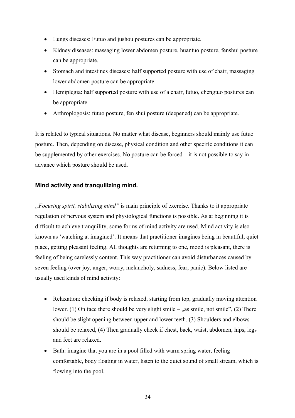- Lungs diseases: Futuo and jushou postures can be appropriate.
- Kidney diseases: massaging lower abdomen posture, huantuo posture, fenshui posture can be appropriate.
- Stomach and intestines diseases: half supported posture with use of chair, massaging lower abdomen posture can be appropriate.
- Hemiplegia: half supported posture with use of a chair, futuo, chengtuo postures can be appropriate.
- Arthroplogosis: futuo posture, fen shui posture (deepened) can be appropriate.

It is related to typical situations. No matter what disease, beginners should mainly use futuo posture. Then, depending on disease, physical condition and other specific conditions it can be supplemented by other exercises. No posture can be forced – it is not possible to say in advance which posture should be used.

#### **Mind activity and tranquilizing mind.**

*"Focusing spirit, stabilizing mind"* is main principle of exercise. Thanks to it appropriate regulation of nervous system and physiological functions is possible. As at beginning it is difficult to achieve tranquility, some forms of mind activity are used. Mind activity is also known as 'watching at imagined'. It means that practitioner imagines being in beautiful, quiet place, getting pleasant feeling. All thoughts are returning to one, mood is pleasant, there is feeling of being carelessly content. This way practitioner can avoid disturbances caused by seven feeling (over joy, anger, worry, melancholy, sadness, fear, panic). Below listed are usually used kinds of mind activity:

- Relaxation: checking if body is relaxed, starting from top, gradually moving attention lower. (1) On face there should be very slight smile – "as smile, not smile", (2) There should be slight opening between upper and lower teeth. (3) Shoulders and elbows should be relaxed, (4) Then gradually check if chest, back, waist, abdomen, hips, legs and feet are relaxed.
- Bath: imagine that you are in a pool filled with warm spring water, feeling comfortable, body floating in water, listen to the quiet sound of small stream, which is flowing into the pool.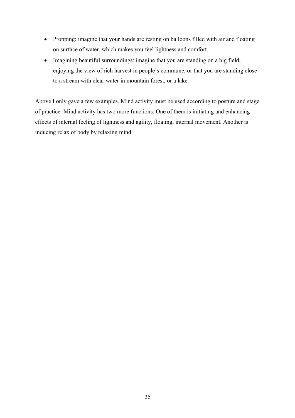- Propping: imagine that your hands are resting on balloons filled with air and floating on surface of water, which makes you feel lightness and comfort.
- Imagining beautiful surroundings: imagine that you are standing on a big field, enjoying the view of rich harvest in people's commune, or that you are standing close to a stream with clear water in mountain forest, or a lake.

Above I only gave a few examples. Mind activity must be used according to posture and stage of practice. Mind activity has two more functions. One of them is initiating and enhancing effects of internal feeling of lightness and agility, floating, internal movement. Another is inducing relax of body by relaxing mind.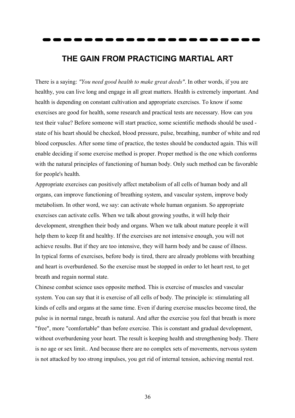### **THE GAIN FROM PRACTICING MARTIAL ART**

There is a saying: *"You need good health to make great deeds"*. In other words, if you are healthy, you can live long and engage in all great matters. Health is extremely important. And health is depending on constant cultivation and appropriate exercises. To know if some exercises are good for health, some research and practical tests are necessary. How can you test their value? Before someone will start practice, some scientific methods should be used state of his heart should be checked, blood pressure, pulse, breathing, number of white and red blood corpuscles. After some time of practice, the testes should be conducted again. This will enable deciding if some exercise method is proper. Proper method is the one which conforms with the natural principles of functioning of human body. Only such method can be favorable for people's health.

Appropriate exercises can positively affect metabolism of all cells of human body and all organs, can improve functioning of breathing system, and vascular system, improve body metabolism. In other word, we say: can activate whole human organism. So appropriate exercises can activate cells. When we talk about growing youths, it will help their development, strengthen their body and organs. When we talk about mature people it will help them to keep fit and healthy. If the exercises are not intensive enough, you will not achieve results. But if they are too intensive, they will harm body and be cause of illness. In typical forms of exercises, before body is tired, there are already problems with breathing and heart is overburdened. So the exercise must be stopped in order to let heart rest, to get breath and regain normal state.

Chinese combat science uses opposite method. This is exercise of muscles and vascular system. You can say that it is exercise of all cells of body. The principle is: stimulating all kinds of cells and organs at the same time. Even if during exercise muscles become tired, the pulse is in normal range, breath is natural. And after the exercise you feel that breath is more "free", more "comfortable" than before exercise. This is constant and gradual development, without overburdening your heart. The result is keeping health and strengthening body. There is no age or sex limit.. And because there are no complex sets of movements, nervous system is not attacked by too strong impulses, you get rid of internal tension, achieving mental rest.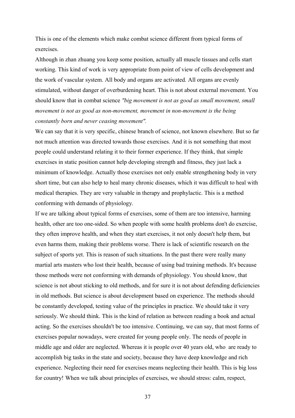This is one of the elements which make combat science different from typical forms of exercises.

Although in zhan zhuang you keep some position, actually all muscle tissues and cells start working. This kind of work is very appropriate from point of view of cells development and the work of vascular system. All body and organs are activated. All organs are evenly stimulated, without danger of overburdening heart. This is not about external movement. You should know that in combat science *"big movement is not as good as small movement, small movement is not as good as non-movement, movement in non-movement is the being constantly born and never ceasing movement".*

We can say that it is very specific, chinese branch of science, not known elsewhere. But so far not much attention was directed towards those exercises. And it is not something that most people could understand relating it to their former experience. If they think, that simple exercises in static position cannot help developing strength and fitness, they just lack a minimum of knowledge. Actually those exercises not only enable strengthening body in very short time, but can also help to heal many chronic diseases, which it was difficult to heal with medical therapies. They are very valuable in therapy and prophylactic. This is a method conforming with demands of physiology.

If we are talking about typical forms of exercises, some of them are too intensive, harming health, other are too one-sided. So when people with some health problems don't do exercise, they often improve health, and when they start exercises, it not only doesn't help them, but even harms them, making their problems worse. There is lack of scientific research on the subject of sports yet. This is reason of such situations. In the past there were really many martial arts masters who lost their health, because of using bad training methods. It's because those methods were not conforming with demands of physiology. You should know, that science is not about sticking to old methods, and for sure it is not about defending deficiencies in old methods. But science is about development based on experience. The methods should be constantly developed, testing value of the principles in practice. We should take it very seriously. We should think. This is the kind of relation as between reading a book and actual acting. So the exercises shouldn't be too intensive. Continuing, we can say, that most forms of exercises popular nowadays, were created for young people only. The needs of people in middle age and older are neglected. Whereas it is people over 40 years old, who are ready to accomplish big tasks in the state and society, because they have deep knowledge and rich experience. Neglecting their need for exercises means neglecting their health. This is big loss for country! When we talk about principles of exercises, we should stress: calm, respect,

37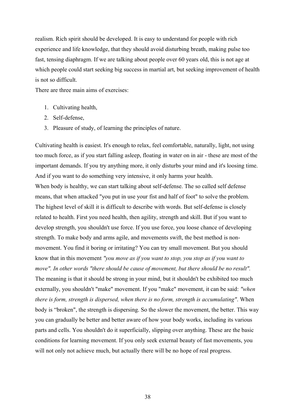realism. Rich spirit should be developed. It is easy to understand for people with rich experience and life knowledge, that they should avoid disturbing breath, making pulse too fast, tensing diaphragm. If we are talking about people over 60 years old, this is not age at which people could start seeking big success in martial art, but seeking improvement of health is not so difficult.

There are three main aims of exercises:

- 1. Cultivating health,
- 2. Self-defense,
- 3. Pleasure of study, of learning the principles of nature.

Cultivating health is easiest. It's enough to relax, feel comfortable, naturally, light, not using too much force, as if you start falling asleep, floating in water on in air - these are most of the important demands. If you try anything more, it only disturbs your mind and it's loosing time. And if you want to do something very intensive, it only harms your health. When body is healthy, we can start talking about self-defense. The so called self defense means, that when attacked "you put in use your fist and half of foot" to solve the problem. The highest level of skill it is difficult to describe with words. But self-defense is closely related to health. First you need health, then agility, strength and skill. But if you want to develop strength, you shouldn't use force. If you use force, you loose chance of developing strength. To make body and arms agile, and movements swift, the best method is nonmovement. You find it boring or irritating? You can try small movement. But you should know that in this movement *"you move as if you want to stop, you stop as if you want to move". In other words "there should be cause of movement, but there should be no result".*  The meaning is that it should be strong in your mind, but it shouldn't be exhibited too much externally, you shouldn't "make" movement. If you "make" movement, it can be said: *"when there is form, strength is dispersed, when there is no form, strength is accumulating"*. When body is "broken", the strength is dispersing. So the slower the movement, the better. This way you can gradually be better and better aware of how your body works, including its various parts and cells. You shouldn't do it superficially, slipping over anything. These are the basic conditions for learning movement. If you only seek external beauty of fast movements, you will not only not achieve much, but actually there will be no hope of real progress.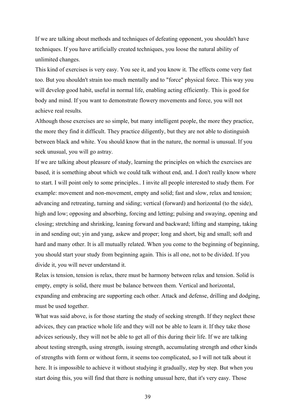If we are talking about methods and techniques of defeating opponent, you shouldn't have techniques. If you have artificially created techniques, you loose the natural ability of unlimited changes.

This kind of exercises is very easy. You see it, and you know it. The effects come very fast too. But you shouldn't strain too much mentally and to "force" physical force. This way you will develop good habit, useful in normal life, enabling acting efficiently. This is good for body and mind. If you want to demonstrate flowery movements and force, you will not achieve real results.

Although those exercises are so simple, but many intelligent people, the more they practice, the more they find it difficult. They practice diligently, but they are not able to distinguish between black and white. You should know that in the nature, the normal is unusual. If you seek unusual, you will go astray.

If we are talking about pleasure of study, learning the principles on which the exercises are based, it is something about which we could talk without end, and. I don't really know where to start. I will point only to some principles.. I invite all people interested to study them. For example: movement and non-movement, empty and solid; fast and slow, relax and tension; advancing and retreating, turning and siding; vertical (forward) and horizontal (to the side), high and low; opposing and absorbing, forcing and letting; pulsing and swaying, opening and closing; stretching and shrinking, leaning forward and backward; lifting and stamping, taking in and sending out; yin and yang, askew and proper; long and short, big and small; soft and hard and many other. It is all mutually related. When you come to the beginning of beginning, you should start your study from beginning again. This is all one, not to be divided. If you divide it, you will never understand it.

Relax is tension, tension is relax, there must be harmony between relax and tension. Solid is empty, empty is solid, there must be balance between them. Vertical and horizontal, expanding and embracing are supporting each other. Attack and defense, drilling and dodging, must be used together.

What was said above, is for those starting the study of seeking strength. If they neglect these advices, they can practice whole life and they will not be able to learn it. If they take those advices seriously, they will not be able to get all of this during their life. If we are talking about testing strength, using strength, issuing strength, accumulating strength and other kinds of strengths with form or without form, it seems too complicated, so I will not talk about it here. It is impossible to achieve it without studying it gradually, step by step. But when you start doing this, you will find that there is nothing unusual here, that it's very easy. Those

39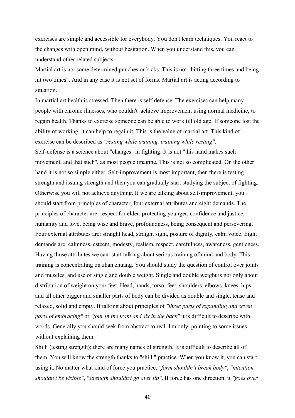exercises are simple and accessible for everybody. You don't learn techniques. You react to the changes with open mind, without hesitation. When you understand this, you can understand other related subjects.

Martial art is not some determined punches or kicks. This is not "hitting three times and being hit two times". And in any case it is not set of forms. Martial art is acting according to situation.

In martial art health is stressed. Then there is self-defense. The exercises can help many people with chronic illnesses, who couldn't achieve improvement using normal medicine, to regain health. Thanks to exercise someone can be able to work till old age. If someone lost the ability of working, it can help to regain it. This is the value of martial art. This kind of exercise can be described as *"resting while training, training while resting"*. Self-defense is a science about "changes" in fighting. It is not "this hand makes such movement, and that such", as most people imagine. This is not so complicated. On the other hand it is not so simple either. Self-improvement is most important, then there is testing strength and issuing strength and then you can gradually start studying the subject of fighting. Otherwise you will not achieve anything. If we are talking about self-improvement, you should start from principles of character, four external attributes and eight demands. The principles of character are: respect for elder, protecting younger, confidence and justice, humanity and love, being wise and brave, profoundness, being consequent and persevering. Four external attributes are: straight head, straight sight, posture of dignity, calm voice. Eight demands are: calmness, esteem, modesty, realism, respect, carefulness, awareness, gentleness. Having those attributes we can start talking about serious training of mind and body. This training is concentrating on zhan zhuang. You should study the question of control over joints and muscles, and use of single and double weight. Single and double weight is not only about distribution of weight on your feet. Head, hands, torso, feet, shoulders, elbows, knees, hips and all other bigger and smaller parts of body can be divided as double and single, tense and relaxed, solid and empty. If talking about principles of *"three parts of expanding and seven parts of embracing"* or *"four in the front and six in the back"* it is difficult to describe with words. Generally you should seek from abstract to real. I'm only pointing to some issues without explaining them.

Shi li (testing strength): there are many names of strength. It is difficult to describe all of them. You will know the strength thanks to "shi li" practice. When you know it, you can start using it. No matter what kind of force you practice, *"form shouldn't break body"*, *"intention shouldn't be visible"*, *"strength shouldn't go over tip"*. If force has one direction, it *"goes over* 

40